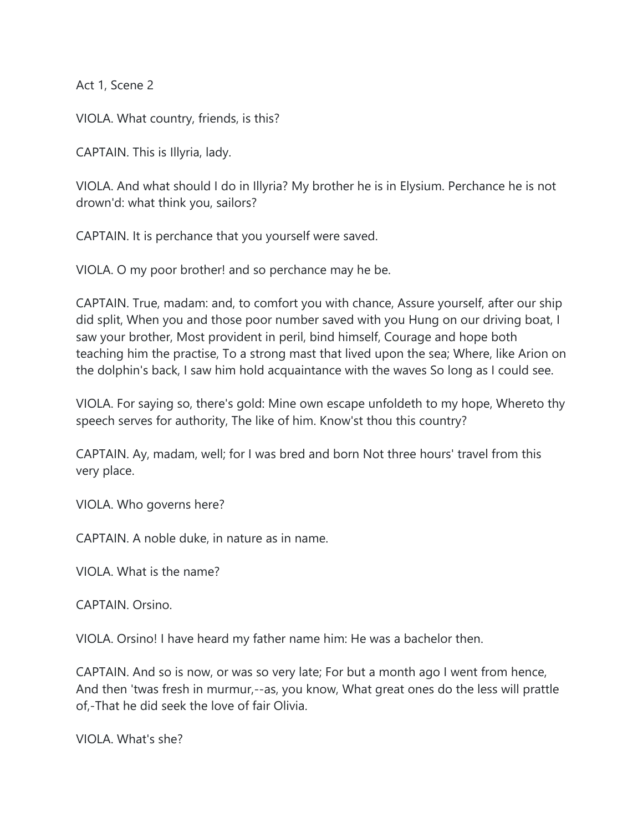Act 1, Scene 2

VIOLA. What country, friends, is this?

CAPTAIN. This is Illyria, lady.

VIOLA. And what should I do in Illyria? My brother he is in Elysium. Perchance he is not drown'd: what think you, sailors?

CAPTAIN. It is perchance that you yourself were saved.

VIOLA. O my poor brother! and so perchance may he be.

CAPTAIN. True, madam: and, to comfort you with chance, Assure yourself, after our ship did split, When you and those poor number saved with you Hung on our driving boat, I saw your brother, Most provident in peril, bind himself, Courage and hope both teaching him the practise, To a strong mast that lived upon the sea; Where, like Arion on the dolphin's back, I saw him hold acquaintance with the waves So long as I could see.

VIOLA. For saying so, there's gold: Mine own escape unfoldeth to my hope, Whereto thy speech serves for authority, The like of him. Know'st thou this country?

CAPTAIN. Ay, madam, well; for I was bred and born Not three hours' travel from this very place.

VIOLA. Who governs here?

CAPTAIN. A noble duke, in nature as in name.

VIOLA. What is the name?

CAPTAIN. Orsino.

VIOLA. Orsino! I have heard my father name him: He was a bachelor then.

CAPTAIN. And so is now, or was so very late; For but a month ago I went from hence, And then 'twas fresh in murmur,--as, you know, What great ones do the less will prattle of,-That he did seek the love of fair Olivia.

VIOLA. What's she?